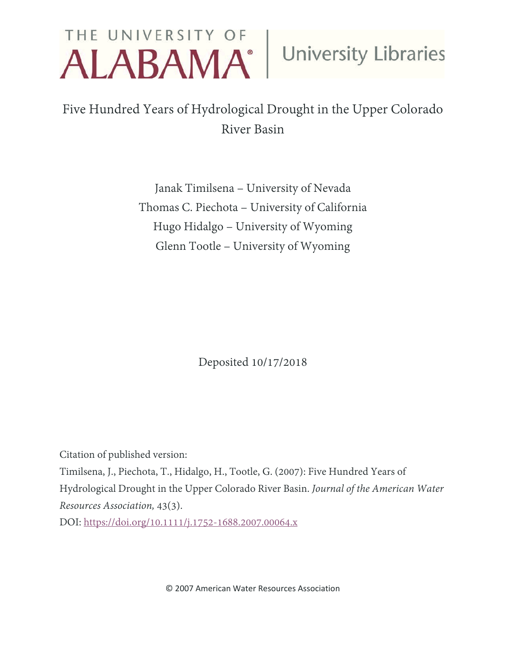# THE UNIVERSITY OF University Libraries

# Five Hundred Years of Hydrological Drought in the Upper Colorado River Basin

Janak Timilsena – University of Nevada Thomas C. Piechota – University of California Hugo Hidalgo – University of Wyoming Glenn Tootle – University of Wyoming

Deposited 10/17/2018

Citation of published version:

Timilsena, J., Piechota, T., Hidalgo, H., Tootle, G. (2007): Five Hundred Years of Hydrological Drought in the Upper Colorado River Basin. *Journal of the American Water Resources Association,* 43(3).

DOI:<https://doi.org/10.1111/j.1752-1688.2007.00064.x>

© 2007 American Water Resources Association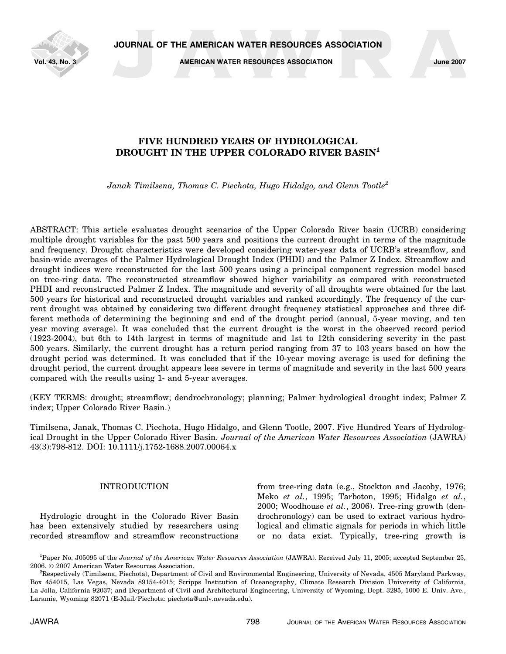

Vol. 43, No. 3 AMERICAN WATER RESOURCES ASSOCIATION June 2007

# FIVE HUNDRED YEARS OF HYDROLOGICAL DROUGHT IN THE UPPER COLORADO RIVER BASIN<sup>1</sup>

Janak Timilsena, Thomas C. Piechota, Hugo Hidalgo, and Glenn Tootle<sup>2</sup>

ABSTRACT: This article evaluates drought scenarios of the Upper Colorado River basin (UCRB) considering multiple drought variables for the past 500 years and positions the current drought in terms of the magnitude and frequency. Drought characteristics were developed considering water-year data of UCRB's streamflow, and basin-wide averages of the Palmer Hydrological Drought Index (PHDI) and the Palmer Z Index. Streamflow and drought indices were reconstructed for the last 500 years using a principal component regression model based on tree-ring data. The reconstructed streamflow showed higher variability as compared with reconstructed PHDI and reconstructed Palmer Z Index. The magnitude and severity of all droughts were obtained for the last 500 years for historical and reconstructed drought variables and ranked accordingly. The frequency of the current drought was obtained by considering two different drought frequency statistical approaches and three different methods of determining the beginning and end of the drought period (annual, 5-year moving, and ten year moving average). It was concluded that the current drought is the worst in the observed record period (1923-2004), but 6th to 14th largest in terms of magnitude and 1st to 12th considering severity in the past 500 years. Similarly, the current drought has a return period ranging from 37 to 103 years based on how the drought period was determined. It was concluded that if the 10-year moving average is used for defining the drought period, the current drought appears less severe in terms of magnitude and severity in the last 500 years compared with the results using 1- and 5-year averages.

(KEY TERMS: drought; streamflow; dendrochronology; planning; Palmer hydrological drought index; Palmer Z index; Upper Colorado River Basin.)

Timilsena, Janak, Thomas C. Piechota, Hugo Hidalgo, and Glenn Tootle, 2007. Five Hundred Years of Hydrological Drought in the Upper Colorado River Basin. Journal of the American Water Resources Association (JAWRA) 43(3):798-812. DOI: 10.1111/j.1752-1688.2007.00064.x

# INTRODUCTION

Hydrologic drought in the Colorado River Basin has been extensively studied by researchers using recorded streamflow and streamflow reconstructions from tree-ring data (e.g., Stockton and Jacoby, 1976; Meko et al., 1995; Tarboton, 1995; Hidalgo et al., 2000; Woodhouse et al., 2006). Tree-ring growth (dendrochronology) can be used to extract various hydrological and climatic signals for periods in which little or no data exist. Typically, tree-ring growth is

<sup>&</sup>lt;sup>1</sup>Paper No. J05095 of the Journal of the American Water Resources Association (JAWRA). Received July 11, 2005; accepted September 25, 2006. © 2007 American Water Resources Association.

 ${}^{2}$ Respectively (Timilsena, Piechota), Department of Civil and Environmental Engineering, University of Nevada, 4505 Maryland Parkway, Box 454015, Las Vegas, Nevada 89154-4015; Scripps Institution of Oceanography, Climate Research Division University of California, La Jolla, California 92037; and Department of Civil and Architectural Engineering, University of Wyoming, Dept. 3295, 1000 E. Univ. Ave., Laramie, Wyoming 82071 (E-Mail/Piechota: piechota@unlv.nevada.edu).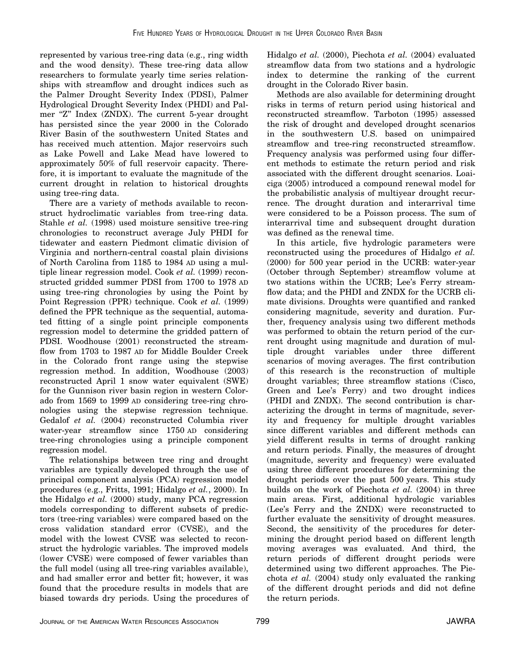represented by various tree-ring data (e.g., ring width and the wood density). These tree-ring data allow researchers to formulate yearly time series relationships with streamflow and drought indices such as the Palmer Drought Severity Index (PDSI), Palmer Hydrological Drought Severity Index (PHDI) and Palmer "Z" Index (ZNDX). The current 5-year drought has persisted since the year 2000 in the Colorado River Basin of the southwestern United States and has received much attention. Major reservoirs such as Lake Powell and Lake Mead have lowered to approximately 50% of full reservoir capacity. Therefore, it is important to evaluate the magnitude of the current drought in relation to historical droughts using tree-ring data.

There are a variety of methods available to reconstruct hydroclimatic variables from tree-ring data. Stahle et al. (1998) used moisture sensitive tree-ring chronologies to reconstruct average July PHDI for tidewater and eastern Piedmont climatic division of Virginia and northern-central coastal plain divisions of North Carolina from 1185 to 1984 AD using a multiple linear regression model. Cook et al. (1999) reconstructed gridded summer PDSI from 1700 to 1978 AD using tree-ring chronologies by using the Point by Point Regression (PPR) technique. Cook et al. (1999) defined the PPR technique as the sequential, automated fitting of a single point principle components regression model to determine the gridded pattern of PDSI. Woodhouse (2001) reconstructed the streamflow from 1703 to 1987 AD for Middle Boulder Creek in the Colorado front range using the stepwise regression method. In addition, Woodhouse (2003) reconstructed April 1 snow water equivalent (SWE) for the Gunnison river basin region in western Colorado from 1569 to 1999 AD considering tree-ring chronologies using the stepwise regression technique. Gedalof et al. (2004) reconstructed Columbia river water-year streamflow since 1750 AD considering tree-ring chronologies using a principle component regression model.

The relationships between tree ring and drought variables are typically developed through the use of principal component analysis (PCA) regression model procedures (e.g., Fritts, 1991; Hidalgo et al., 2000). In the Hidalgo et al. (2000) study, many PCA regression models corresponding to different subsets of predictors (tree-ring variables) were compared based on the cross validation standard error (CVSE), and the model with the lowest CVSE was selected to reconstruct the hydrologic variables. The improved models (lower CVSE) were composed of fewer variables than the full model (using all tree-ring variables available), and had smaller error and better fit; however, it was found that the procedure results in models that are biased towards dry periods. Using the procedures of Hidalgo et al. (2000), Piechota et al. (2004) evaluated streamflow data from two stations and a hydrologic index to determine the ranking of the current drought in the Colorado River basin.

Methods are also available for determining drought risks in terms of return period using historical and reconstructed streamflow. Tarboton (1995) assessed the risk of drought and developed drought scenarios in the southwestern U.S. based on unimpaired streamflow and tree-ring reconstructed streamflow. Frequency analysis was performed using four different methods to estimate the return period and risk associated with the different drought scenarios. Loaiciga (2005) introduced a compound renewal model for the probabilistic analysis of multiyear drought recurrence. The drought duration and interarrival time were considered to be a Poisson process. The sum of interarrival time and subsequent drought duration was defined as the renewal time.

In this article, five hydrologic parameters were reconstructed using the procedures of Hidalgo et al. (2000) for 500 year period in the UCRB: water-year (October through September) streamflow volume at two stations within the UCRB; Lee's Ferry streamflow data; and the PHDI and ZNDX for the UCRB climate divisions. Droughts were quantified and ranked considering magnitude, severity and duration. Further, frequency analysis using two different methods was performed to obtain the return period of the current drought using magnitude and duration of multiple drought variables under three different scenarios of moving averages. The first contribution of this research is the reconstruction of multiple drought variables; three streamflow stations (Cisco, Green and Lee's Ferry) and two drought indices (PHDI and ZNDX). The second contribution is characterizing the drought in terms of magnitude, severity and frequency for multiple drought variables since different variables and different methods can yield different results in terms of drought ranking and return periods. Finally, the measures of drought (magnitude, severity and frequency) were evaluated using three different procedures for determining the drought periods over the past 500 years. This study builds on the work of Piechota et al. (2004) in three main areas. First, additional hydrologic variables (Lee's Ferry and the ZNDX) were reconstructed to further evaluate the sensitivity of drought measures. Second, the sensitivity of the procedures for determining the drought period based on different length moving averages was evaluated. And third, the return periods of different drought periods were determined using two different approaches. The Piechota et al. (2004) study only evaluated the ranking of the different drought periods and did not define the return periods.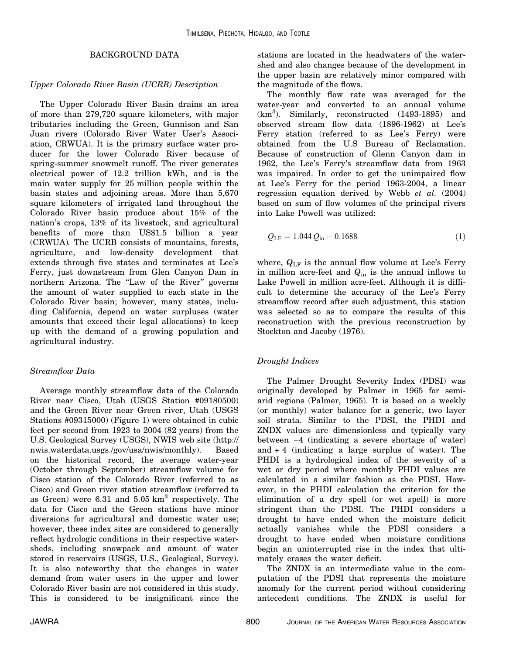## BACKGROUND DATA

# Upper Colorado River Basin (UCRB) Description

The Upper Colorado River Basin drains an area of more than 279,720 square kilometers, with major tributaries including the Green, Gunnison and San Juan rivers (Colorado River Water User's Association, CRWUA). It is the primary surface water producer for the lower Colorado River because of spring-summer snowmelt runoff. The river generates electrical power of 12.2 trillion kWh, and is the main water supply for 25 million people within the basin states and adjoining areas. More than 5,670 square kilometers of irrigated land throughout the Colorado River basin produce about 15% of the nation's crops, 13% of its livestock, and agricultural benefits of more than US\$1.5 billion a year (CRWUA). The UCRB consists of mountains, forests, agriculture, and low-density development that extends through five states and terminates at Lee's Ferry, just downstream from Glen Canyon Dam in northern Arizona. The "Law of the River" governs the amount of water supplied to each state in the Colorado River basin; however, many states, including California, depend on water surpluses (water amounts that exceed their legal allocations) to keep up with the demand of a growing population and agricultural industry.

# Streamflow Data

Average monthly streamflow data of the Colorado River near Cisco, Utah (USGS Station #09180500) and the Green River near Green river, Utah (USGS Stations #09315000) (Figure 1) were obtained in cubic feet per second from 1923 to 2004 (82 years) from the U.S. Geological Survey (USGS), NWIS web site (http:// nwis.waterdata.usgs./gov/usa/nwis/monthly). Based on the historical record, the average water-year (October through September) streamflow volume for Cisco station of the Colorado River (referred to as Cisco) and Green river station streamflow (referred to as Green) were 6.31 and  $5.05 \text{ km}^3$  respectively. The data for Cisco and the Green stations have minor diversions for agricultural and domestic water use; however, these index sites are considered to generally reflect hydrologic conditions in their respective watersheds, including snowpack and amount of water stored in reservoirs (USGS, U.S., Geological, Survey). It is also noteworthy that the changes in water demand from water users in the upper and lower Colorado River basin are not considered in this study. This is considered to be insignificant since the stations are located in the headwaters of the watershed and also changes because of the development in the upper basin are relatively minor compared with the magnitude of the flows.

The monthly flow rate was averaged for the water-year and converted to an annual volume  $(km<sup>3</sup>)$ . Similarly, reconstructed (1493-1895) and observed stream flow data (1896-1962) at Lee's Ferry station (referred to as Lee's Ferry) were obtained from the U.S Bureau of Reclamation. Because of construction of Glenn Canyon dam in 1962, the Lee's Ferry's streamflow data from 1963 was impaired. In order to get the unimpaired flow at Lee's Ferry for the period 1963-2004, a linear regression equation derived by Webb *et al.*  $(2004)$ based on sum of flow volumes of the principal rivers into Lake Powell was utilized:

$$
Q_{LF} = 1.044 Q_{in} - 0.1688
$$
 (1)

where,  $Q_{LF}$  is the annual flow volume at Lee's Ferry in million acre-feet and  $Q_{\text{in}}$  is the annual inflows to Lake Powell in million acre-feet. Although it is difficult to determine the accuracy of the Lee's Ferry streamflow record after such adjustment, this station was selected so as to compare the results of this reconstruction with the previous reconstruction by Stockton and Jacoby (1976).

# Drought Indices

The Palmer Drought Severity Index (PDSI) was originally developed by Palmer in 1965 for semiarid regions (Palmer, 1965). It is based on a weekly (or monthly) water balance for a generic, two layer soil strata. Similar to the PDSI, the PHDI and ZNDX values are dimensionless and typically vary between  $-4$  (indicating a severe shortage of water) and  $+4$  (indicating a large surplus of water). The PHDI is a hydrological index of the severity of a wet or dry period where monthly PHDI values are calculated in a similar fashion as the PDSI. However, in the PHDI calculation the criterion for the elimination of a dry spell (or wet spell) is more stringent than the PDSI. The PHDI considers a drought to have ended when the moisture deficit actually vanishes while the PDSI considers a drought to have ended when moisture conditions begin an uninterrupted rise in the index that ultimately erases the water deficit.

The ZNDX is an intermediate value in the computation of the PDSI that represents the moisture anomaly for the current period without considering antecedent conditions. The ZNDX is useful for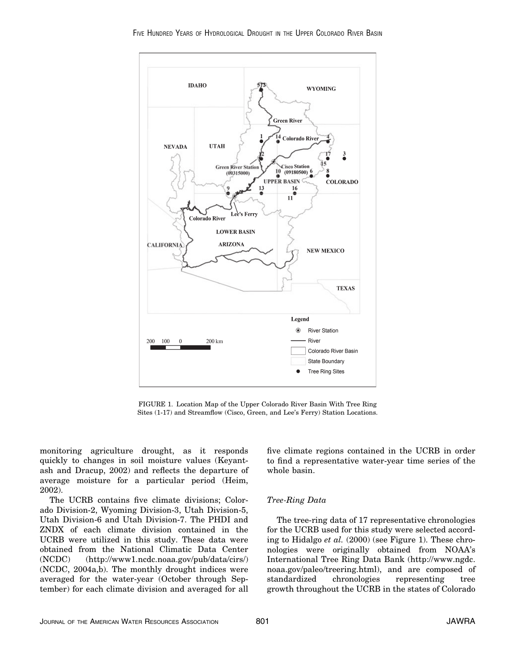

FIGURE 1. Location Map of the Upper Colorado River Basin With Tree Ring Sites (1-17) and Streamflow (Cisco, Green, and Lee's Ferry) Station Locations.

monitoring agriculture drought, as it responds quickly to changes in soil moisture values (Keyantash and Dracup, 2002) and reflects the departure of average moisture for a particular period (Heim, 2002).

The UCRB contains five climate divisions; Colorado Division-2, Wyoming Division-3, Utah Division-5, Utah Division-6 and Utah Division-7. The PHDI and ZNDX of each climate division contained in the UCRB were utilized in this study. These data were obtained from the National Climatic Data Center (NCDC) (http://www1.ncdc.noaa.gov/pub/data/cirs/) (NCDC, 2004a,b). The monthly drought indices were averaged for the water-year (October through September) for each climate division and averaged for all

five climate regions contained in the UCRB in order to find a representative water-year time series of the whole basin.

# Tree-Ring Data

The tree-ring data of 17 representative chronologies for the UCRB used for this study were selected according to Hidalgo et al. (2000) (see Figure 1). These chronologies were originally obtained from NOAA's International Tree Ring Data Bank (http://www.ngdc. noaa.gov/paleo/treering.html), and are composed of standardized chronologies representing tree growth throughout the UCRB in the states of Colorado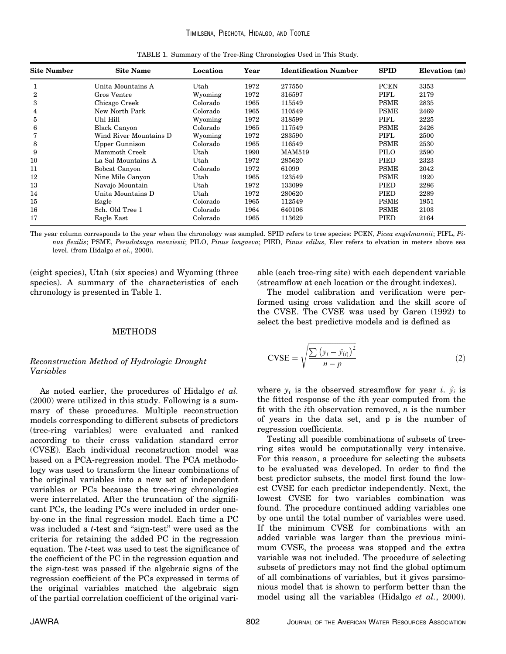| <b>Site Number</b> | <b>Site Name</b>       | Location | Year | <b>Identification Number</b> | <b>SPID</b> | Elevation (m) |
|--------------------|------------------------|----------|------|------------------------------|-------------|---------------|
|                    | Unita Mountains A      | Utah     | 1972 | 277550                       | <b>PCEN</b> | 3353          |
| $\overline{2}$     | Gros Ventre            | Wyoming  | 1972 | 316597                       | PIFL        | 2179          |
| 3                  | Chicago Creek          | Colorado | 1965 | 115549                       | <b>PSME</b> | 2835          |
| 4                  | New North Park         | Colorado | 1965 | 110549                       | <b>PSME</b> | 2469          |
| 5                  | Uhl Hill               | Wyoming  | 1972 | 318599                       | PIFL        | 2225          |
| 6                  | <b>Black Canyon</b>    | Colorado | 1965 | 117549                       | <b>PSME</b> | 2426          |
|                    | Wind River Mountains D | Wyoming  | 1972 | 283590                       | PIFL        | 2500          |
| 8                  | <b>Upper Gunnison</b>  | Colorado | 1965 | 116549                       | <b>PSME</b> | 2530          |
| 9                  | Mammoth Creek          | Utah     | 1990 | <b>MAM519</b>                | PILO        | 2590          |
| 10                 | La Sal Mountains A     | Utah     | 1972 | 285620                       | PIED        | 2323          |
| 11                 | Bobcat Canyon          | Colorado | 1972 | 61099                        | <b>PSME</b> | 2042          |
| 12                 | Nine Mile Canyon       | Utah     | 1965 | 123549                       | <b>PSME</b> | 1920          |
| 13                 | Navajo Mountain        | Utah     | 1972 | 133099                       | PIED        | 2286          |
| 14                 | Unita Mountains D      | Utah     | 1972 | 280620                       | PIED        | 2289          |
| 15                 | Eagle                  | Colorado | 1965 | 112549                       | <b>PSME</b> | 1951          |
| 16                 | Sch. Old Tree 1        | Colorado | 1964 | 640106                       | <b>PSME</b> | 2103          |
| 17                 | Eagle East             | Colorado | 1965 | 113629                       | <b>PIED</b> | 2164          |

TABLE 1. Summary of the Tree-Ring Chronologies Used in This Study.

The year column corresponds to the year when the chronology was sampled. SPID refers to tree species: PCEN, Picea engelmannii; PIFL, Pinus flexilis; PSME, Pseudotsuga menziesii; PILO, Pinus longaeva; PIED, Pinus edilus, Elev refers to elvation in meters above sea level. (from Hidalgo et al., 2000).

(eight species), Utah (six species) and Wyoming (three species). A summary of the characteristics of each chronology is presented in Table 1.

#### able (each tree-ring site) with each dependent variable (streamflow at each location or the drought indexes).

The model calibration and verification were performed using cross validation and the skill score of the CVSE. The CVSE was used by Garen (1992) to select the best predictive models and is defined as

## METHODS

### Reconstruction Method of Hydrologic Drought Variables

As noted earlier, the procedures of Hidalgo et al. (2000) were utilized in this study. Following is a summary of these procedures. Multiple reconstruction models corresponding to different subsets of predictors (tree-ring variables) were evaluated and ranked according to their cross validation standard error (CVSE). Each individual reconstruction model was based on a PCA-regression model. The PCA methodology was used to transform the linear combinations of the original variables into a new set of independent variables or PCs because the tree-ring chronologies were interrelated. After the truncation of the significant PCs, the leading PCs were included in order oneby-one in the final regression model. Each time a PC was included a *t*-test and "sign-test" were used as the criteria for retaining the added PC in the regression equation. The t-test was used to test the significance of the coefficient of the PC in the regression equation and the sign-test was passed if the algebraic signs of the regression coefficient of the PCs expressed in terms of the original variables matched the algebraic sign of the partial correlation coefficient of the original vari-

$$
\text{CVSE} = \sqrt{\frac{\sum (y_i - \hat{y}_{(i)})^2}{n - p}}
$$
 (2)

where  $y_i$  is the observed streamflow for year i.  $\hat{y}_i$  is the fitted response of the ith year computed from the fit with the *i*th observation removed,  $n$  is the number of years in the data set, and p is the number of regression coefficients.

Testing all possible combinations of subsets of treering sites would be computationally very intensive. For this reason, a procedure for selecting the subsets to be evaluated was developed. In order to find the best predictor subsets, the model first found the lowest CVSE for each predictor independently. Next, the lowest CVSE for two variables combination was found. The procedure continued adding variables one by one until the total number of variables were used. If the minimum CVSE for combinations with an added variable was larger than the previous minimum CVSE, the process was stopped and the extra variable was not included. The procedure of selecting subsets of predictors may not find the global optimum of all combinations of variables, but it gives parsimonious model that is shown to perform better than the model using all the variables (Hidalgo *et al.*, 2000).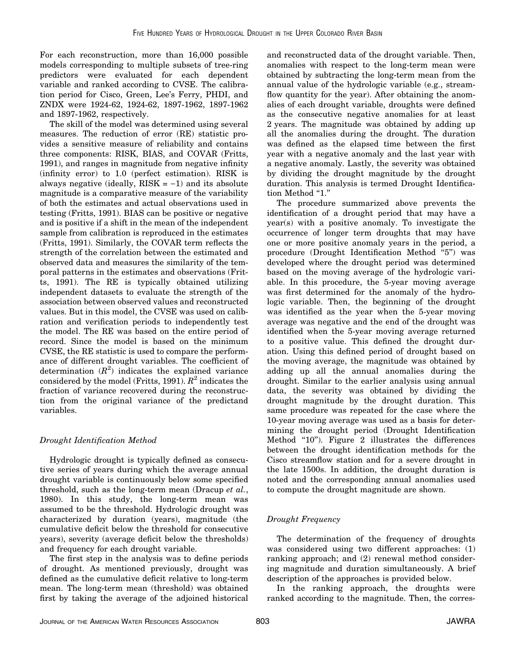For each reconstruction, more than 16,000 possible models corresponding to multiple subsets of tree-ring predictors were evaluated for each dependent variable and ranked according to CVSE. The calibration period for Cisco, Green, Lee's Ferry, PHDI, and ZNDX were 1924-62, 1924-62, 1897-1962, 1897-1962 and 1897-1962, respectively.

The skill of the model was determined using several measures. The reduction of error (RE) statistic provides a sensitive measure of reliability and contains three components: RISK, BIAS, and COVAR (Fritts, 1991), and ranges in magnitude from negative infinity (infinity error) to 1.0 (perfect estimation). RISK is always negative (ideally,  $RISK = -1$ ) and its absolute magnitude is a comparative measure of the variability of both the estimates and actual observations used in testing (Fritts, 1991). BIAS can be positive or negative and is positive if a shift in the mean of the independent sample from calibration is reproduced in the estimates (Fritts, 1991). Similarly, the COVAR term reflects the strength of the correlation between the estimated and observed data and measures the similarity of the temporal patterns in the estimates and observations (Fritts, 1991). The RE is typically obtained utilizing independent datasets to evaluate the strength of the association between observed values and reconstructed values. But in this model, the CVSE was used on calibration and verification periods to independently test the model. The RE was based on the entire period of record. Since the model is based on the minimum CVSE, the RE statistic is used to compare the performance of different drought variables. The coefficient of determination  $(R^2)$  indicates the explained variance considered by the model (Fritts, 1991).  $R^2$  indicates the fraction of variance recovered during the reconstruction from the original variance of the predictand variables.

# Drought Identification Method

Hydrologic drought is typically defined as consecutive series of years during which the average annual drought variable is continuously below some specified threshold, such as the long-term mean (Dracup et al., 1980). In this study, the long-term mean was assumed to be the threshold. Hydrologic drought was characterized by duration (years), magnitude (the cumulative deficit below the threshold for consecutive years), severity (average deficit below the thresholds) and frequency for each drought variable.

The first step in the analysis was to define periods of drought. As mentioned previously, drought was defined as the cumulative deficit relative to long-term mean. The long-term mean (threshold) was obtained first by taking the average of the adjoined historical and reconstructed data of the drought variable. Then, anomalies with respect to the long-term mean were obtained by subtracting the long-term mean from the annual value of the hydrologic variable (e.g., streamflow quantity for the year). After obtaining the anomalies of each drought variable, droughts were defined as the consecutive negative anomalies for at least 2 years. The magnitude was obtained by adding up all the anomalies during the drought. The duration was defined as the elapsed time between the first year with a negative anomaly and the last year with a negative anomaly. Lastly, the severity was obtained by dividing the drought magnitude by the drought duration. This analysis is termed Drought Identification Method "1."

The procedure summarized above prevents the identification of a drought period that may have a year(s) with a positive anomaly. To investigate the occurrence of longer term droughts that may have one or more positive anomaly years in the period, a procedure (Drought Identification Method ''5'') was developed where the drought period was determined based on the moving average of the hydrologic variable. In this procedure, the 5-year moving average was first determined for the anomaly of the hydrologic variable. Then, the beginning of the drought was identified as the year when the 5-year moving average was negative and the end of the drought was identified when the 5-year moving average returned to a positive value. This defined the drought duration. Using this defined period of drought based on the moving average, the magnitude was obtained by adding up all the annual anomalies during the drought. Similar to the earlier analysis using annual data, the severity was obtained by dividing the drought magnitude by the drought duration. This same procedure was repeated for the case where the 10-year moving average was used as a basis for determining the drought period (Drought Identification Method "10"). Figure 2 illustrates the differences between the drought identification methods for the Cisco streamflow station and for a severe drought in the late 1500s. In addition, the drought duration is noted and the corresponding annual anomalies used to compute the drought magnitude are shown.

# Drought Frequency

The determination of the frequency of droughts was considered using two different approaches: (1) ranking approach; and (2) renewal method considering magnitude and duration simultaneously. A brief description of the approaches is provided below.

In the ranking approach, the droughts were ranked according to the magnitude. Then, the corres-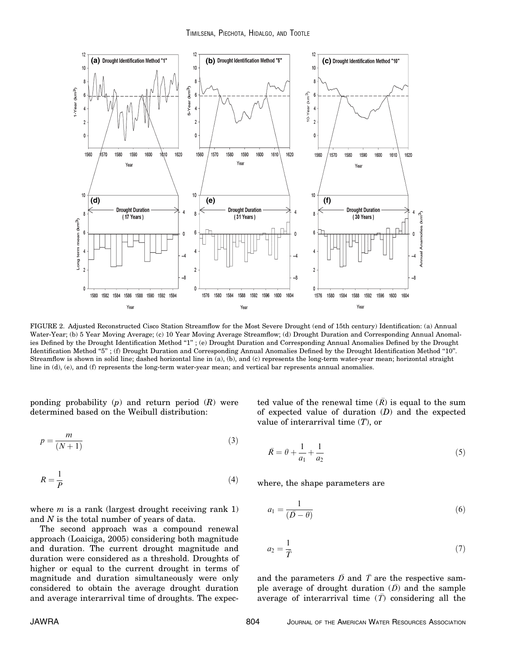

FIGURE 2. Adjusted Reconstructed Cisco Station Streamflow for the Most Severe Drought (end of 15th century) Identification: (a) Annual Water-Year; (b) 5 Year Moving Average; (c) 10 Year Moving Average Streamflow; (d) Drought Duration and Corresponding Annual Anomalies Defined by the Drought Identification Method "1"; (e) Drought Duration and Corresponding Annual Anomalies Defined by the Drought Identification Method ''5'' ; (f) Drought Duration and Corresponding Annual Anomalies Defined by the Drought Identification Method ''10''. Streamflow is shown in solid line; dashed horizontal line in (a), (b), and (c) represents the long-term water-year mean; horizontal straight line in (d), (e), and (f) represents the long-term water-year mean; and vertical bar represents annual anomalies.

ponding probability  $(p)$  and return period  $(R)$  were determined based on the Weibull distribution:

$$
p = \frac{m}{(N+1)}
$$
\n(3)

$$
R = \frac{1}{P} \tag{4}
$$

where  $m$  is a rank (largest drought receiving rank 1) and N is the total number of years of data.

The second approach was a compound renewal approach (Loaiciga, 2005) considering both magnitude and duration. The current drought magnitude and duration were considered as a threshold. Droughts of higher or equal to the current drought in terms of magnitude and duration simultaneously were only considered to obtain the average drought duration and average interarrival time of droughts. The expec-

ted value of the renewal time  $(\overline{R})$  is equal to the sum of expected value of duration  $(D)$  and the expected value of interarrival time  $(T)$ , or

$$
\bar{R} = \theta + \frac{1}{a_1} + \frac{1}{a_2} \tag{5}
$$

where, the shape parameters are

$$
a_1 = \frac{1}{(\bar{D} - \theta)}\tag{6}
$$

$$
a_2 = \frac{1}{\overline{T}}\tag{7}
$$

and the parameters  $\overline{D}$  and  $\overline{T}$  are the respective sample average of drought duration  $(\bar{D})$  and the sample average of interarrival time  $(\bar{T})$  considering all the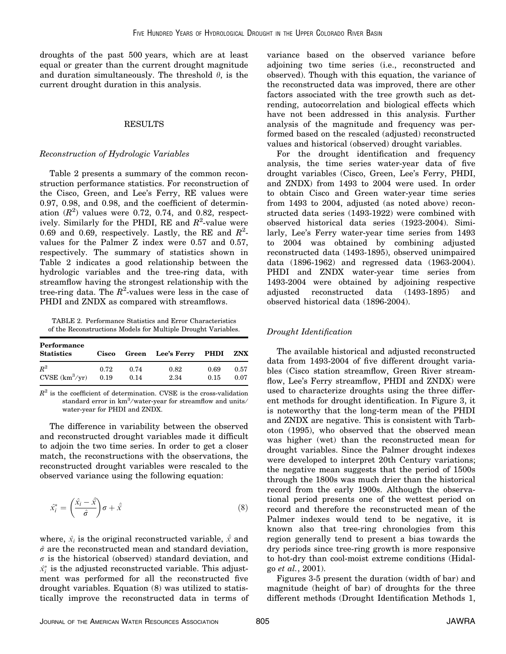droughts of the past 500 years, which are at least equal or greater than the current drought magnitude and duration simultaneously. The threshold  $\theta$ , is the current drought duration in this analysis.

#### RESULTS

### Reconstruction of Hydrologic Variables

Table 2 presents a summary of the common reconstruction performance statistics. For reconstruction of the Cisco, Green, and Lee's Ferry, RE values were 0.97, 0.98, and 0.98, and the coefficient of determination  $(R^2)$  values were 0.72, 0.74, and 0.82, respectively. Similarly for the PHDI, RE and  $R^2$ -value were 0.69 and 0.69, respectively. Lastly, the RE and  $R^2$ values for the Palmer Z index were 0.57 and 0.57, respectively. The summary of statistics shown in Table 2 indicates a good relationship between the hydrologic variables and the tree-ring data, with streamflow having the strongest relationship with the tree-ring data. The  $R^2$ -values were less in the case of PHDI and ZNDX as compared with streamflows.

TABLE 2. Performance Statistics and Error Characteristics of the Reconstructions Models for Multiple Drought Variables.

| Performance<br><b>Statistics</b> | <b>Cisco</b> |      | Green Lee's Ferry PHDI |      | ZNX  |
|----------------------------------|--------------|------|------------------------|------|------|
| $R^2$                            | 0.72         | 0.74 | 0.82                   | 0.69 | 0.57 |
| $CVSE(km^3/yr)$                  | 0.19         | 0.14 | 2.34                   | 0.15 | 0.07 |

 $R<sup>2</sup>$  is the coefficient of determination. CVSE is the cross-validation standard error in  $km^3$ /water-year for streamflow and units/ water-year for PHDI and ZNDX.

The difference in variability between the observed and reconstructed drought variables made it difficult to adjoin the two time series. In order to get a closer match, the reconstructions with the observations, the reconstructed drought variables were rescaled to the observed variance using the following equation:

$$
\hat{x}_i^* = \left(\frac{\hat{x}_i - \hat{x}}{\hat{\sigma}}\right)\sigma + \hat{x}
$$
\n(8)

where,  $\hat{x_i}$  is the original reconstructed variable,  $\hat{\bar{x}}$  and  $\hat{\sigma}$  are the reconstructed mean and standard deviation,  $\sigma$  is the historical (observed) standard deviation, and  $\hat{x}_i^*$  is the adjusted reconstructed variable. This adjustment was performed for all the reconstructed five drought variables. Equation (8) was utilized to statistically improve the reconstructed data in terms of variance based on the observed variance before adjoining two time series (i.e., reconstructed and observed). Though with this equation, the variance of the reconstructed data was improved, there are other factors associated with the tree growth such as detrending, autocorrelation and biological effects which have not been addressed in this analysis. Further analysis of the magnitude and frequency was performed based on the rescaled (adjusted) reconstructed values and historical (observed) drought variables.

For the drought identification and frequency analysis, the time series water-year data of five drought variables (Cisco, Green, Lee's Ferry, PHDI, and ZNDX) from 1493 to 2004 were used. In order to obtain Cisco and Green water-year time series from 1493 to 2004, adjusted (as noted above) reconstructed data series (1493-1922) were combined with observed historical data series (1923-2004). Similarly, Lee's Ferry water-year time series from 1493 to 2004 was obtained by combining adjusted reconstructed data (1493-1895), observed unimpaired data (1896-1962) and regressed data (1963-2004). PHDI and ZNDX water-year time series from 1493-2004 were obtained by adjoining respective adjusted reconstructed data (1493-1895) and observed historical data (1896-2004).

# Drought Identification

The available historical and adjusted reconstructed data from 1493-2004 of five different drought variables (Cisco station streamflow, Green River streamflow, Lee's Ferry streamflow, PHDI and ZNDX) were used to characterize droughts using the three different methods for drought identification. In Figure 3, it is noteworthy that the long-term mean of the PHDI and ZNDX are negative. This is consistent with Tarboton (1995), who observed that the observed mean was higher (wet) than the reconstructed mean for drought variables. Since the Palmer drought indexes were developed to interpret 20th Century variations; the negative mean suggests that the period of 1500s through the 1800s was much drier than the historical record from the early 1900s. Although the observational period presents one of the wettest period on record and therefore the reconstructed mean of the Palmer indexes would tend to be negative, it is known also that tree-ring chronologies from this region generally tend to present a bias towards the dry periods since tree-ring growth is more responsive to hot-dry than cool-moist extreme conditions (Hidalgo et al., 2001).

Figures 3-5 present the duration (width of bar) and magnitude (height of bar) of droughts for the three different methods (Drought Identification Methods 1,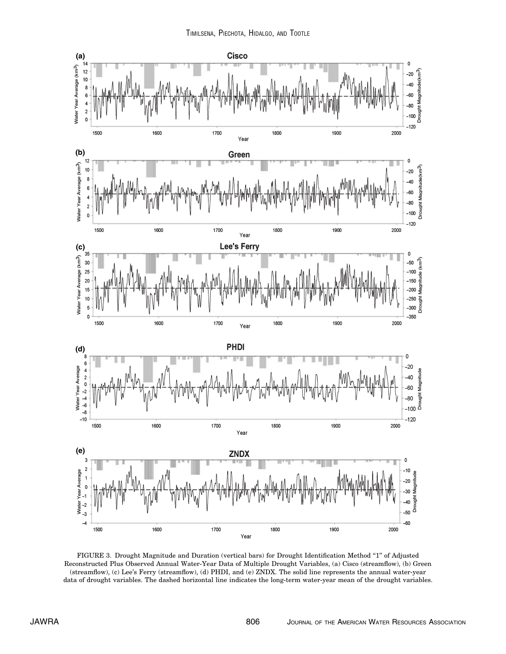

FIGURE 3. Drought Magnitude and Duration (vertical bars) for Drought Identification Method ''1'' of Adjusted Reconstructed Plus Observed Annual Water-Year Data of Multiple Drought Variables, (a) Cisco (streamflow), (b) Green (streamflow), (c) Lee's Ferry (streamflow), (d) PHDI, and (e) ZNDX. The solid line represents the annual water-year data of drought variables. The dashed horizontal line indicates the long-term water-year mean of the drought variables.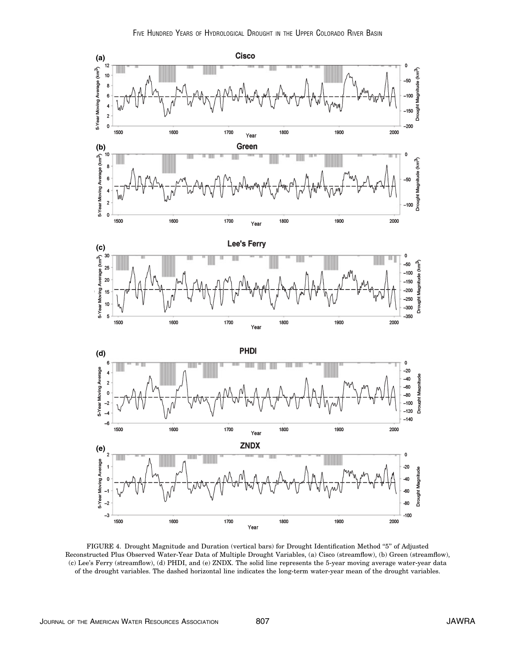

FIGURE 4. Drought Magnitude and Duration (vertical bars) for Drought Identification Method "5" of Adjusted Reconstructed Plus Observed Water-Year Data of Multiple Drought Variables, (a) Cisco (streamflow), (b) Green (streamflow), (c) Lee's Ferry (streamflow), (d) PHDI, and (e) ZNDX. The solid line represents the 5-year moving average water-year data of the drought variables. The dashed horizontal line indicates the long-term water-year mean of the drought variables.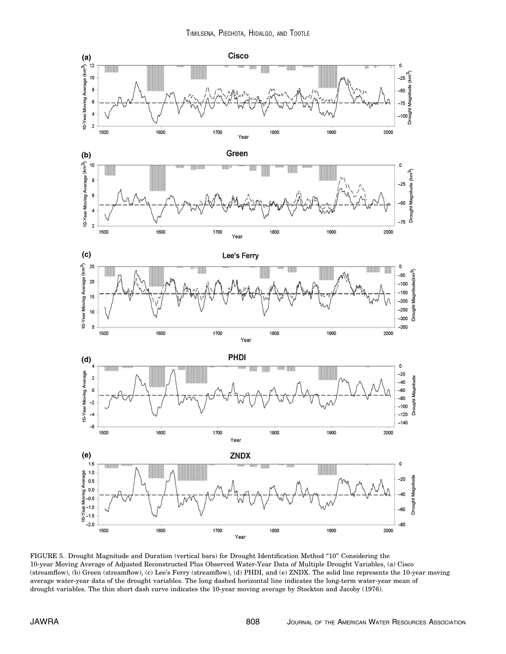

FIGURE 5. Drought Magnitude and Duration (vertical bars) for Drought Identification Method "10" Considering the 10-year Moving Average of Adjusted Reconstructed Plus Observed Water-Year Data of Multiple Drought Variables, (a) Cisco (streamflow), (b) Green (streamflow), (c) Lee's Ferry (streamflow), (d) PHDI, and (e) ZNDX. The solid line represents the 10-year moving average water-year data of the drought variables. The long dashed horizontal line indicates the long-term water-year mean of drought variables. The thin short dash curve indicates the 10-year moving average by Stockton and Jacoby (1976).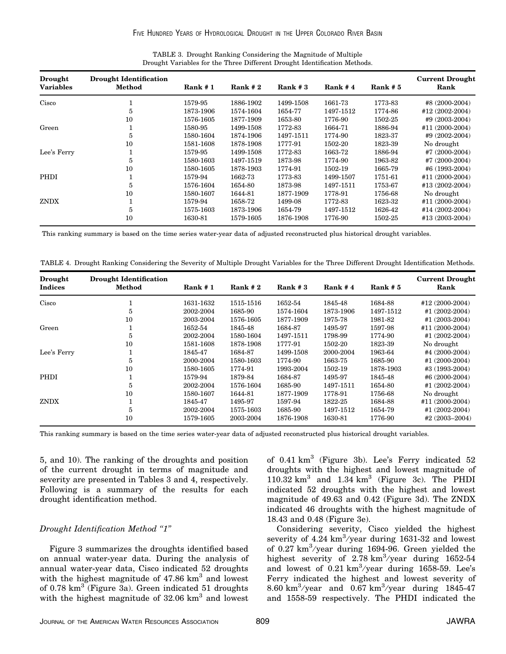| Cisco<br>1773-83<br>1579-95<br>1886-1902<br>1499-1508<br>1661-73<br>1873-1906<br>1574-1604<br>1654-77<br>1497-1512<br>1774-86<br>5<br>10<br>1576-1605<br>1877-1909<br>1653-80<br>1776-90<br>1502-25<br>Green<br>1580-95<br>1499-1508<br>1772-83<br>1664-71<br>1886-94<br>1497-1511<br>1774-90<br>1580-1604<br>1874-1906<br>1823-37<br>5<br>1777-91<br>10<br>1878-1908<br>1502-20<br>1823-39<br>No drought<br>1581-1608<br>Lee's Ferry<br>1579-95<br>1772-83<br>1663-72<br>1886-94<br>1499-1508<br>1580-1603<br>1497-1519<br>1873-98<br>1774-90<br>1963-82<br>5<br>10<br>1580-1605<br>1878-1903<br>1774-91<br>1502-19<br>1665-79<br>PHDI<br>1579-94<br>1662-73<br>1773-83<br>1751-61<br>1499-1507<br>1576-1604<br>1654-80<br>1873-98<br>1497-1511<br>1753-67<br>5<br>10<br>1580-1607<br>1644-81<br>1877-1909<br>1778-91<br>1756-68<br>No drought<br>ZNDX<br>1579-94<br>1658-72<br>1499-08<br>1772-83<br>1623-32<br>1575-1603<br>1873-1906<br>1497-1512<br>5<br>1654-79<br>1626-42 | <b>Current Drought</b><br>Rank |
|----------------------------------------------------------------------------------------------------------------------------------------------------------------------------------------------------------------------------------------------------------------------------------------------------------------------------------------------------------------------------------------------------------------------------------------------------------------------------------------------------------------------------------------------------------------------------------------------------------------------------------------------------------------------------------------------------------------------------------------------------------------------------------------------------------------------------------------------------------------------------------------------------------------------------------------------------------------------------------|--------------------------------|
|                                                                                                                                                                                                                                                                                                                                                                                                                                                                                                                                                                                                                                                                                                                                                                                                                                                                                                                                                                                  | #8 (2000-2004)                 |
|                                                                                                                                                                                                                                                                                                                                                                                                                                                                                                                                                                                                                                                                                                                                                                                                                                                                                                                                                                                  | #12 (2002-2004)                |
|                                                                                                                                                                                                                                                                                                                                                                                                                                                                                                                                                                                                                                                                                                                                                                                                                                                                                                                                                                                  | #9 (2003-2004)                 |
|                                                                                                                                                                                                                                                                                                                                                                                                                                                                                                                                                                                                                                                                                                                                                                                                                                                                                                                                                                                  | #11 (2000-2004)                |
|                                                                                                                                                                                                                                                                                                                                                                                                                                                                                                                                                                                                                                                                                                                                                                                                                                                                                                                                                                                  | #9 (2002-2004)                 |
|                                                                                                                                                                                                                                                                                                                                                                                                                                                                                                                                                                                                                                                                                                                                                                                                                                                                                                                                                                                  |                                |
|                                                                                                                                                                                                                                                                                                                                                                                                                                                                                                                                                                                                                                                                                                                                                                                                                                                                                                                                                                                  | #7 (2000-2004)                 |
|                                                                                                                                                                                                                                                                                                                                                                                                                                                                                                                                                                                                                                                                                                                                                                                                                                                                                                                                                                                  | #7 (2000-2004)                 |
|                                                                                                                                                                                                                                                                                                                                                                                                                                                                                                                                                                                                                                                                                                                                                                                                                                                                                                                                                                                  | #6 (1993-2004)                 |
|                                                                                                                                                                                                                                                                                                                                                                                                                                                                                                                                                                                                                                                                                                                                                                                                                                                                                                                                                                                  | #11 (2000-2004)                |
|                                                                                                                                                                                                                                                                                                                                                                                                                                                                                                                                                                                                                                                                                                                                                                                                                                                                                                                                                                                  | #13 (2002-2004)                |
|                                                                                                                                                                                                                                                                                                                                                                                                                                                                                                                                                                                                                                                                                                                                                                                                                                                                                                                                                                                  |                                |
|                                                                                                                                                                                                                                                                                                                                                                                                                                                                                                                                                                                                                                                                                                                                                                                                                                                                                                                                                                                  | #11 (2000-2004)                |
|                                                                                                                                                                                                                                                                                                                                                                                                                                                                                                                                                                                                                                                                                                                                                                                                                                                                                                                                                                                  | #14 (2002-2004)                |
| 10<br>1630-81<br>1776-90<br>1579-1605<br>1876-1908<br>1502-25                                                                                                                                                                                                                                                                                                                                                                                                                                                                                                                                                                                                                                                                                                                                                                                                                                                                                                                    | #13 (2003-2004)                |

TABLE 3. Drought Ranking Considering the Magnitude of Multiple Drought Variables for the Three Different Drought Identification Methods.

This ranking summary is based on the time series water-year data of adjusted reconstructed plus historical drought variables.

TABLE 4. Drought Ranking Considering the Severity of Multiple Drought Variables for the Three Different Drought Identification Methods.

| Drought<br><b>Indices</b> | <b>Drought Identification</b><br>Method | Rank#1    | Rank $#2$ | Rank $#3$ | Rank $#4$ | Rank $# 5$ | <b>Current Drought</b><br>Rank |
|---------------------------|-----------------------------------------|-----------|-----------|-----------|-----------|------------|--------------------------------|
| Cisco                     |                                         | 1631-1632 | 1515-1516 | 1652-54   | 1845-48   | 1684-88    | #12 (2000-2004)                |
|                           | 5                                       | 2002-2004 | 1685-90   | 1574-1604 | 1873-1906 | 1497-1512  | #1 $(2002 - 2004)$             |
|                           | 10                                      | 2003-2004 | 1576-1605 | 1877-1909 | 1975-78   | 1981-82    | #1 $(2003-2004)$               |
| Green                     |                                         | 1652-54   | 1845-48   | 1684-87   | 1495-97   | 1597-98    | #11 (2000-2004)                |
|                           | 5                                       | 2002-2004 | 1580-1604 | 1497-1511 | 1798-99   | 1774-90    | #1 $(2002 - 2004)$             |
|                           | 10                                      | 1581-1608 | 1878-1908 | 1777-91   | 1502-20   | 1823-39    | No drought                     |
| Lee's Ferry               |                                         | 1845-47   | 1684-87   | 1499-1508 | 2000-2004 | 1963-64    | #4 (2000-2004)                 |
|                           | 5                                       | 2000-2004 | 1580-1603 | 1774-90   | 1663-75   | 1685-90    | #1 $(2000-2004)$               |
|                           | 10                                      | 1580-1605 | 1774-91   | 1993-2004 | 1502-19   | 1878-1903  | #3 (1993-2004)                 |
| PHDI                      |                                         | 1579-94   | 1879-84   | 1684-87   | 1495-97   | 1845-48    | #6 $(2000-2004)$               |
|                           | 5                                       | 2002-2004 | 1576-1604 | 1685-90   | 1497-1511 | 1654-80    | #1 $(2002-2004)$               |
|                           | 10                                      | 1580-1607 | 1644-81   | 1877-1909 | 1778-91   | 1756-68    | No drought                     |
| <b>ZNDX</b>               |                                         | 1845-47   | 1495-97   | 1597-94   | 1822-25   | 1684-88    | #11 (2000-2004)                |
|                           | 5                                       | 2002-2004 | 1575-1603 | 1685-90   | 1497-1512 | 1654-79    | #1 (2002-2004)                 |
|                           | 10                                      | 1579-1605 | 2003-2004 | 1876-1908 | 1630-81   | 1776-90    | #2 $(2003 - 2004)$             |

This ranking summary is based on the time series water-year data of adjusted reconstructed plus historical drought variables.

5, and 10). The ranking of the droughts and position of the current drought in terms of magnitude and severity are presented in Tables 3 and 4, respectively. Following is a summary of the results for each drought identification method.

# Drought Identification Method ''1''

Figure 3 summarizes the droughts identified based on annual water-year data. During the analysis of annual water-year data, Cisco indicated 52 droughts with the highest magnitude of  $47.86 \text{ km}^3$  and lowest of  $0.78 \text{ km}^3$  (Figure 3a). Green indicated 51 droughts with the highest magnitude of  $32.06 \text{ km}^3$  and lowest

of 0.41 km<sup>3</sup> (Figure 3b). Lee's Ferry indicated 52 droughts with the highest and lowest magnitude of  $110.32 \text{ km}^3$  and  $1.34 \text{ km}^3$  (Figure 3c). The PHDI indicated 52 droughts with the highest and lowest magnitude of 49.63 and 0.42 (Figure 3d). The ZNDX indicated 46 droughts with the highest magnitude of 18.43 and 0.48 (Figure 3e).

Considering severity, Cisco yielded the highest severity of  $4.24 \text{ km}^3/\text{year}$  during 1631-32 and lowest of 0.27  $km^3$ /year during 1694-96. Green yielded the highest severity of  $2.78 \text{ km}^3/\text{year}$  during 1652-54 and lowest of  $0.21 \text{ km}^3/\text{year}$  during 1658-59. Lee's Ferry indicated the highest and lowest severity of 8.60 km<sup>3</sup>/year and 0.67 km<sup>3</sup>/year during 1845-47 and 1558-59 respectively. The PHDI indicated the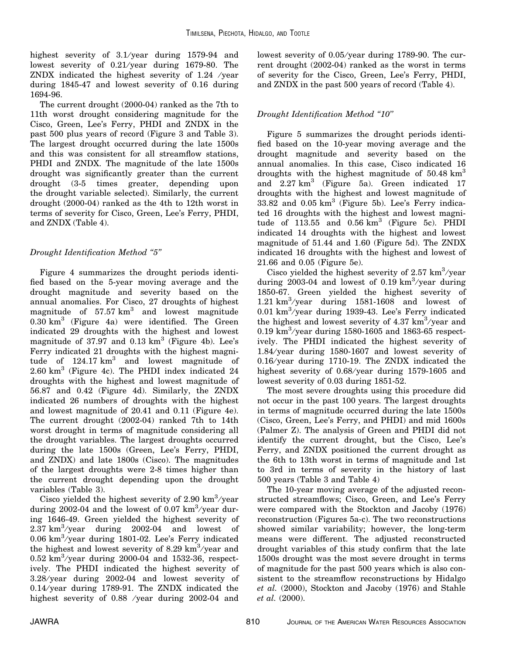highest severity of  $3.1$ /year during 1579-94 and lowest severity of  $0.21$ /year during 1679-80. The ZNDX indicated the highest severity of 1.24 ⁄ year during 1845-47 and lowest severity of 0.16 during 1694-96.

The current drought (2000-04) ranked as the 7th to 11th worst drought considering magnitude for the Cisco, Green, Lee's Ferry, PHDI and ZNDX in the past 500 plus years of record (Figure 3 and Table 3). The largest drought occurred during the late 1500s and this was consistent for all streamflow stations, PHDI and ZNDX. The magnitude of the late 1500s drought was significantly greater than the current drought (3-5 times greater, depending upon the drought variable selected). Similarly, the current drought (2000-04) ranked as the 4th to 12th worst in terms of severity for Cisco, Green, Lee's Ferry, PHDI, and ZNDX (Table 4).

# Drought Identification Method ''5''

Figure 4 summarizes the drought periods identified based on the 5-year moving average and the drought magnitude and severity based on the annual anomalies. For Cisco, 27 droughts of highest magnitude of  $57.57 \text{ km}^3$  and lowest magnitude  $0.30 \text{ km}^3$  (Figure 4a) were identified. The Green indicated 29 droughts with the highest and lowest magnitude of 37.97 and  $0.13 \text{ km}^3$  (Figure 4b). Lee's Ferry indicated 21 droughts with the highest magnitude of  $124.17 \text{ km}^3$  and lowest magnitude of  $2.60 \text{ km}^3$  (Figure 4c). The PHDI index indicated 24 droughts with the highest and lowest magnitude of 56.87 and 0.42 (Figure 4d). Similarly, the ZNDX indicated 26 numbers of droughts with the highest and lowest magnitude of 20.41 and 0.11 (Figure 4e). The current drought (2002-04) ranked 7th to 14th worst drought in terms of magnitude considering all the drought variables. The largest droughts occurred during the late 1500s (Green, Lee's Ferry, PHDI, and ZNDX) and late 1800s (Cisco). The magnitudes of the largest droughts were 2-8 times higher than the current drought depending upon the drought variables (Table 3).

Cisco yielded the highest severity of  $2.90 \text{ km}^3/\text{year}$ during 2002-04 and the lowest of 0.07  $km^3$ /year during 1646-49. Green yielded the highest severity of  $2.37 \text{ km}^3/\text{year}$  during  $2002-04$  and lowest of 0.06  $km^3$ /year during 1801-02. Lee's Ferry indicated the highest and lowest severity of 8.29  $km^3$ /year and  $0.52 \text{ km}^3/\text{year}$  during 2000-04 and 1532-36, respectively. The PHDI indicated the highest severity of 3.28/year during 2002-04 and lowest severity of  $0.14$ /year during 1789-91. The ZNDX indicated the highest severity of 0.88 /year during 2002-04 and lowest severity of 0.05/year during 1789-90. The current drought (2002-04) ranked as the worst in terms of severity for the Cisco, Green, Lee's Ferry, PHDI, and ZNDX in the past 500 years of record (Table 4).

# Drought Identification Method ''10''

Figure 5 summarizes the drought periods identified based on the 10-year moving average and the drought magnitude and severity based on the annual anomalies. In this case, Cisco indicated 16 droughts with the highest magnitude of  $50.48 \text{ km}^3$ and  $2.27 \text{ km}^3$  (Figure 5a). Green indicated 17 droughts with the highest and lowest magnitude of  $33.82$  and  $0.05 \text{ km}^3$  (Figure 5b). Lee's Ferry indicated 16 droughts with the highest and lowest magnitude of  $113.55$  and  $0.56 \text{ km}^3$  (Figure 5c). PHDI indicated 14 droughts with the highest and lowest magnitude of 51.44 and 1.60 (Figure 5d). The ZNDX indicated 16 droughts with the highest and lowest of 21.66 and 0.05 (Figure 5e).

Cisco yielded the highest severity of  $2.57 \text{ km}^3/\text{year}$ during 2003-04 and lowest of 0.19  $km^3$ /year during 1850-67. Green yielded the highest severity of 1.21  $\text{km}^3/\text{year}$  during 1581-1608 and lowest of 0.01 km<sup>3</sup>/year during 1939-43. Lee's Ferry indicated the highest and lowest severity of  $4.37 \text{ km}^3/\text{year}$  and 0.19  $\rm km^3$ /year during 1580-1605 and 1863-65 respectively. The PHDI indicated the highest severity of 1.84 ⁄ year during 1580-1607 and lowest severity of  $0.16$ /year during 1710-19. The ZNDX indicated the highest severity of 0.68/year during 1579-1605 and lowest severity of 0.03 during 1851-52.

The most severe droughts using this procedure did not occur in the past 100 years. The largest droughts in terms of magnitude occurred during the late 1500s (Cisco, Green, Lee's Ferry, and PHDI) and mid 1600s (Palmer Z). The analysis of Green and PHDI did not identify the current drought, but the Cisco, Lee's Ferry, and ZNDX positioned the current drought as the 6th to 13th worst in terms of magnitude and 1st to 3rd in terms of severity in the history of last 500 years (Table 3 and Table 4)

The 10-year moving average of the adjusted reconstructed streamflows; Cisco, Green, and Lee's Ferry were compared with the Stockton and Jacoby (1976) reconstruction (Figures 5a-c). The two reconstructions showed similar variability; however, the long-term means were different. The adjusted reconstructed drought variables of this study confirm that the late 1500s drought was the most severe drought in terms of magnitude for the past 500 years which is also consistent to the streamflow reconstructions by Hidalgo et al. (2000), Stockton and Jacoby (1976) and Stahle et al. (2000).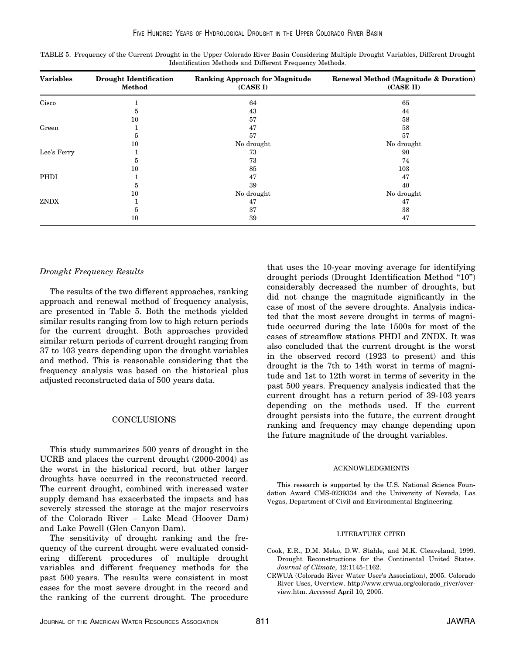| <b>Variables</b> | <b>Drought Identification</b><br>Method | <b>Ranking Approach for Magnitude</b><br>(CASE I) | Renewal Method (Magnitude & Duration)<br>(CASE II) |
|------------------|-----------------------------------------|---------------------------------------------------|----------------------------------------------------|
| Cisco            |                                         | 64                                                | 65                                                 |
|                  | 5                                       | 43                                                | 44                                                 |
|                  | 10                                      | 57                                                | 58                                                 |
| Green            |                                         | 47                                                | 58                                                 |
|                  | 5                                       | 57                                                | 57                                                 |
|                  | 10                                      | No drought                                        | No drought                                         |
| Lee's Ferry      |                                         | 73                                                | 90                                                 |
|                  | 5                                       | 73                                                | 74                                                 |
|                  | 10                                      | 85                                                | 103                                                |
| PHDI             |                                         | 47                                                | 47                                                 |
|                  | 5                                       | 39                                                | 40                                                 |
|                  | 10                                      | No drought                                        | No drought                                         |
| <b>ZNDX</b>      |                                         | 47                                                | 47                                                 |
|                  | 5                                       | 37                                                | 38                                                 |
|                  | 10                                      | 39                                                | 47                                                 |

TABLE 5. Frequency of the Current Drought in the Upper Colorado River Basin Considering Multiple Drought Variables, Different Drought Identification Methods and Different Frequency Methods.

# Drought Frequency Results

The results of the two different approaches, ranking approach and renewal method of frequency analysis, are presented in Table 5. Both the methods yielded similar results ranging from low to high return periods for the current drought. Both approaches provided similar return periods of current drought ranging from 37 to 103 years depending upon the drought variables and method. This is reasonable considering that the frequency analysis was based on the historical plus adjusted reconstructed data of 500 years data.

#### CONCLUSIONS

This study summarizes 500 years of drought in the UCRB and places the current drought (2000-2004) as the worst in the historical record, but other larger droughts have occurred in the reconstructed record. The current drought, combined with increased water supply demand has exacerbated the impacts and has severely stressed the storage at the major reservoirs of the Colorado River – Lake Mead (Hoover Dam) and Lake Powell (Glen Canyon Dam).

The sensitivity of drought ranking and the frequency of the current drought were evaluated considering different procedures of multiple drought variables and different frequency methods for the past 500 years. The results were consistent in most cases for the most severe drought in the record and the ranking of the current drought. The procedure

that uses the 10-year moving average for identifying drought periods (Drought Identification Method ''10'') considerably decreased the number of droughts, but did not change the magnitude significantly in the case of most of the severe droughts. Analysis indicated that the most severe drought in terms of magnitude occurred during the late 1500s for most of the cases of streamflow stations PHDI and ZNDX. It was also concluded that the current drought is the worst in the observed record (1923 to present) and this drought is the 7th to 14th worst in terms of magnitude and 1st to 12th worst in terms of severity in the past 500 years. Frequency analysis indicated that the current drought has a return period of 39-103 years depending on the methods used. If the current drought persists into the future, the current drought ranking and frequency may change depending upon the future magnitude of the drought variables.

#### ACKNOWLEDGMENTS

This research is supported by the U.S. National Science Foundation Award CMS-0239334 and the University of Nevada, Las Vegas, Department of Civil and Environmental Engineering.

#### LITERATURE CITED

- Cook, E.R., D.M. Meko, D.W. Stahle, and M.K. Cleaveland, 1999. Drought Reconstructions for the Continental United States. Journal of Climate, 12:1145-1162.
- CRWUA (Colorado River Water User's Association), 2005. Colorado River Uses, Overview. http://www.crwua.org/colorado\_river/overview.htm. Accessed April 10, 2005.